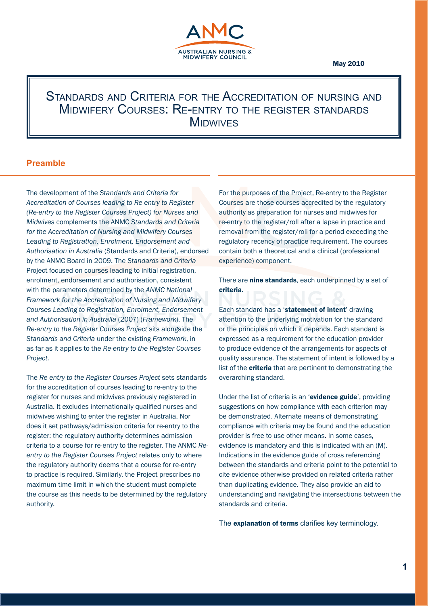

# Standards and Criteria for the Accreditation of nursing and Midwifery Courses: Re-entry to the register standards **MIDWIVES**

# **Preamble**

The development of the *Standards and Criteria for Accreditation of Courses leading to Re-entry to Register (Re-entry to the Register Courses Project) for Nurses and Midwives* complements the ANMC *Standards and Criteria for the Accreditation of Nursing and Midwifery Courses Leading to Registration, Enrolment, Endorsement and Authorisation in Australia* (Standards and Criteria), endorsed by the ANMC Board in 2009. The *Standards and Criteria* Project focused on courses leading to initial registration, enrolment, endorsement and authorisation, consistent with the parameters determined by the *ANMC National Framework for the Accreditation of Nursing and Midwifery Courses Leading to Registration, Enrolment, Endorsement and Authorisation in Australia* (2007) (*Framework*). The *Re-entry to the Register Courses Project* sits alongside the *Standards and Criteria* under the existing *Framework*, in as far as it applies to the *Re-entry to the Register Courses Project.* 

The *Re-entry to the Register Courses Project* sets standards for the accreditation of courses leading to re-entry to the register for nurses and midwives previously registered in Australia. It excludes internationally qualified nurses and midwives wishing to enter the register in Australia. Nor does it set pathways/admission criteria for re-entry to the register: the regulatory authority determines admission criteria to a course for re-entry to the register. The ANMC *Reentry to the Register Courses Project* relates only to where the regulatory authority deems that a course for re-entry to practice is required. Similarly, the Project prescribes no maximum time limit in which the student must complete the course as this needs to be determined by the regulatory authority.

For the purposes of the Project, Re-entry to the Register Courses are those courses accredited by the regulatory authority as preparation for nurses and midwives for re-entry to the register/roll after a lapse in practice and removal from the register/roll for a period exceeding the regulatory recency of practice requirement. The courses contain both a theoretical and a clinical (professional experience) component.

There are **nine standards**, each underpinned by a set of criteria.

Each standard has a 'statement of intent' drawing attention to the underlying motivation for the standard or the principles on which it depends. Each standard is expressed as a requirement for the education provider to produce evidence of the arrangements for aspects of quality assurance. The statement of intent is followed by a list of the **criteria** that are pertinent to demonstrating the overarching standard.

Under the list of criteria is an 'evidence guide', providing suggestions on how compliance with each criterion may be demonstrated. Alternate means of demonstrating compliance with criteria may be found and the education provider is free to use other means. In some cases, evidence is mandatory and this is indicated with an (M). Indications in the evidence guide of cross referencing between the standards and criteria point to the potential to cite evidence otherwise provided on related criteria rather than duplicating evidence. They also provide an aid to understanding and navigating the intersections between the standards and criteria.

The explanation of terms clarifies key terminology.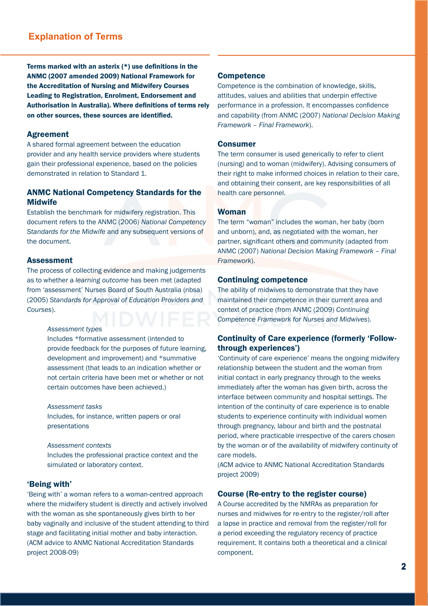# **Explanation of Terms**

Terms marked with an asterix (\*) use definitions in the ANMC (2007 amended 2009) National Framework for the Accreditation of Nursing and Midwifery Courses Leading to Registration, Enrolment, Endorsement and Authorisation in Australia). Where definitions of terms rely on other sources, these sources are identified.

#### Agreement

A shared formal agreement between the education provider and any health service providers where students gain their professional experience, based on the policies demonstrated in relation to Standard 1.

# ANMC National Competency Standards for the **Midwife**

Establish the benchmark for midwifery registration. This document refers to the ANMC (2006) *National Competency Standards for the Midwife* and any subsequent versions of the document.

#### Assessment

The process of collecting evidence and making judgements as to whether a *learning outcome* has been met (adapted from 'assessment' Nurses Board of South Australia (nbsa) (2005) *Standards for Approval of Education Providers and Courses*).

#### *Assessment types*

Includes \*formative assessment (intended to provide feedback for the purposes of future learning, development and improvement) and \*summative assessment (that leads to an indication whether or not certain criteria have been met or whether or not certain outcomes have been achieved.)

*Assessment tasks*  Includes, for instance, written papers or oral presentations

*Assessment contexts*  Includes the professional practice context and the simulated or laboratory context.

#### 'Being with'

'Being with' a woman refers to a woman-centred approach where the midwifery student is directly and actively involved with the woman as she spontaneously gives birth to her baby vaginally and inclusive of the student attending to third stage and facilitating initial mother and baby interaction. (ACM advice to ANMC National Accreditation Standards project 2008-09)

#### **Competence**

Competence is the combination of knowledge, skills, attitudes, values and abilities that underpin effective performance in a profession. It encompasses confidence and capability (from ANMC (2007) *National Decision Making Framework – Final Framework*).

#### Consumer

The term consumer is used generically to refer to client (nursing) and to woman (midwifery). Advising consumers of their right to make informed choices in relation to their care, and obtaining their consent, are key responsibilities of all health care personnel.

#### Woman

The term "woman" includes the woman, her baby (born and unborn), and, as negotiated with the woman, her partner, significant others and community (adapted from ANMC (2007) *National Decision Making Framework – Final Framework*).

#### Continuing competence

The ability of midwives to demonstrate that they have maintained their competence in their current area and context of practice (from ANMC (2009) *Continuing Competence Framework for Nurses and Midwives*).

# Continuity of Care experience (formerly 'Followthrough experiences')

'Continuity of care experience' means the ongoing midwifery relationship between the student and the woman from initial contact in early pregnancy through to the weeks immediately after the woman has given birth, across the interface between community and hospital settings. The intention of the continuity of care experience is to enable students to experience continuity with individual women through pregnancy, labour and birth and the postnatal period, where practicable irrespective of the carers chosen by the woman or of the availability of midwifery continuity of care models.

(ACM advice to ANMC National Accreditation Standards project 2009)

#### Course (Re-entry to the register course)

A Course accredited by the NMRAs as preparation for nurses and midwives for re-entry to the register/roll after a lapse in practice and removal from the register/roll for a period exceeding the regulatory recency of practice requirement. It contains both a theoretical and a clinical component.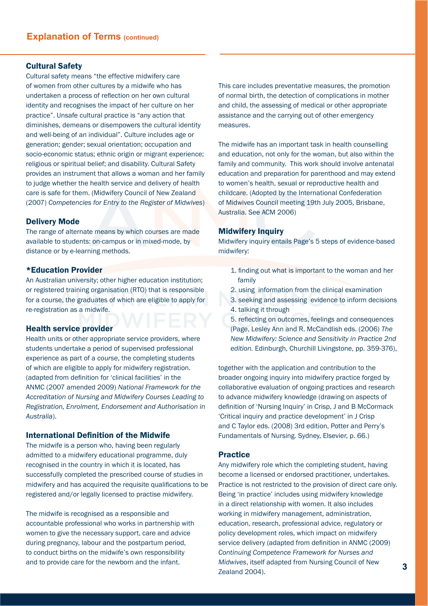#### Cultural Safety

Cultural safety means "the effective midwifery care of women from other cultures by a midwife who has undertaken a process of reflection on her own cultural identity and recognises the impact of her culture on her practice". Unsafe cultural practice is "any action that diminishes, demeans or disempowers the cultural identity and well-being of an individual". Culture includes age or generation; gender; sexual orientation; occupation and socio-economic status; ethnic origin or migrant experience; religious or spiritual belief; and disability. Cultural Safety provides an instrument that allows a woman and her family to judge whether the health service and delivery of health care is safe for them. (Midwifery Council of New Zealand (2007) *Competencies for Entry to the Register of Midwives*)

#### Delivery Mode

The range of alternate means by which courses are made available to students: on-campus or in mixed-mode, by distance or by e-learning methods.

#### \*Education Provider

An Australian university; other higher education institution; or registered training organisation (RTO) that is responsible for a course, the graduates of which are eligible to apply for re-registration as a midwife.

#### Health service provider

Health units or other appropriate service providers, where students undertake a period of supervised professional experience as part of a *course*, the completing students of which are eligible to apply for midwifery registration. (adapted from definition for 'clinical facilities' in the ANMC (2007 amended 2009) *National Framework for the Accreditation of Nursing and Midwifery Courses Leading to Registration, Enrolment, Endorsement and Authorisation in Australia*).

# International Definition of the Midwife

The midwife is a person who, having been regularly admitted to a midwifery educational programme, duly recognised in the country in which it is located, has successfully completed the prescribed course of studies in midwifery and has acquired the requisite qualifications to be registered and/or legally licensed to practise midwifery.

The midwife is recognised as a responsible and accountable professional who works in partnership with women to give the necessary support, care and advice during pregnancy, labour and the postpartum period, to conduct births on the midwife's own responsibility and to provide care for the newborn and the infant.

This care includes preventative measures, the promotion of normal birth, the detection of complications in mother and child, the assessing of medical or other appropriate assistance and the carrying out of other emergency measures.

The midwife has an important task in health counselling and education, not only for the woman, but also within the family and community. This work should involve antenatal education and preparation for parenthood and may extend to women's health, sexual or reproductive health and childcare. (Adopted by the International Confederation of Midwives Council meeting 19th July 2005, Brisbane, Australia. See ACM 2006)

#### Midwifery Inquiry

Midwifery inquiry entails Page's 5 steps of evidence-based midwifery:

- 1. finding out what is important to the woman and her family
- 2. using information from the clinical examination
- 3. seeking and assessing evidence to inform decisions 4. talking it through
- 5. reflecting on outcomes, feelings and consequences (Page, Lesley Ann and R. McCandlish eds. (2006) *The New Midwifery: Science and Sensitivity in Practice 2nd edition.* Edinburgh, Churchill Livingstone, pp. 359-376),

together with the application and contribution to the broader ongoing inquiry into midwifery practice forged by collaborative evaluation of ongoing practices and research to advance midwifery knowledge (drawing on aspects of definition of 'Nursing Inquiry' in Crisp, J and B McCormack 'Critical inquiry and practice development' in J Crisp and C Taylor eds. (2008) 3rd edition, Potter and Perry's Fundamentals of Nursing. Sydney, Elsevier, p. 66.)

#### Practice

Any midwifery role which the completing student, having become a licensed or endorsed practitioner, undertakes. Practice is not restricted to the provision of direct care only. Being 'in practice' includes using midwifery knowledge in a direct relationship with women. It also includes working in midwifery management, administration, education, research, professional advice, regulatory or policy development roles, which impact on midwifery service delivery (adapted from definition in ANMC (2009) *Continuing Competence Framework for Nurses and Midwives*, itself adapted from Nursing Council of New Zealand 2004).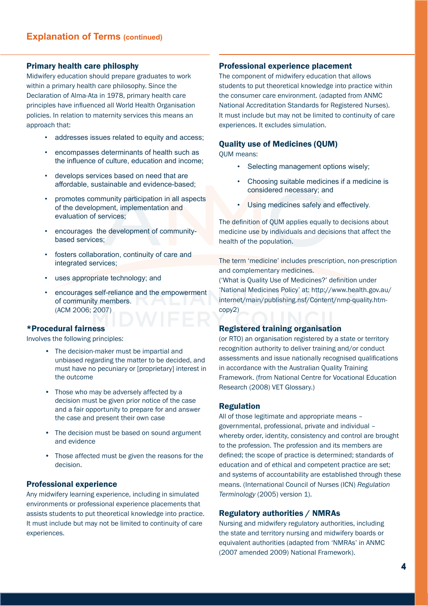#### Primary health care philosphy

Midwifery education should prepare graduates to work within a primary health care philosophy. Since the Declaration of Alma-Ata in 1978, primary health care principles have influenced all World Health Organisation policies. In relation to maternity services this means an approach that:

- addresses issues related to equity and access;
- encompasses determinants of health such as the influence of culture, education and income;
- develops services based on need that are affordable, sustainable and evidence-based;
- promotes community participation in all aspects of the development, implementation and evaluation of services;
- encourages the development of communitybased services;
- fosters collaboration, continuity of care and integrated services;
- uses appropriate technology; and
- encourages self-reliance and the empowerment of community members. (ACM 2006; 2007)

#### \*Procedural fairness

Involves the following principles:

- The decision-maker must be impartial and unbiased regarding the matter to be decided, and must have no pecuniary or [proprietary] interest in the outcome
- Those who may be adversely affected by a decision must be given prior notice of the case and a fair opportunity to prepare for and answer the case and present their own case
- The decision must be based on sound argument and evidence
- Those affected must be given the reasons for the decision.

#### Professional experience

Any midwifery learning experience, including in simulated environments or professional experience placements that assists students to put theoretical knowledge into practice. It must include but may not be limited to continuity of care experiences.

#### Professional experience placement

The component of midwifery education that allows students to put theoretical knowledge into practice within the consumer care environment. (adapted from ANMC National Accreditation Standards for Registered Nurses). It must include but may not be limited to continuity of care experiences. It excludes simulation.

#### Quality use of Medicines (QUM)

QUM means:

- Selecting management options wisely;
- Choosing suitable medicines if a medicine is considered necessary; and
- Using medicines safely and effectively.

The definition of QUM applies equally to decisions about medicine use by individuals and decisions that affect the health of the population.

The term 'medicine' includes prescription, non-prescription and complementary medicines.

('What is Quality Use of Medicines?' definition under 'National Medicines Policy' at: http://www.health.gov.au/ internet/main/publishing.nsf/Content/nmp-quality.htmcopy2)

#### Registered training organisation

(or RTO) an organisation registered by a state or territory recognition authority to deliver training and/or conduct assessments and issue nationally recognised qualifications in accordance with the Australian Quality Training Framework. (from National Centre for Vocational Education Research (2008) VET Glossary.)

#### Regulation

All of those legitimate and appropriate means – governmental, professional, private and individual – whereby order, identity, consistency and control are brought to the profession. The profession and its members are defined; the scope of practice is determined; standards of education and of ethical and competent practice are set; and systems of accountability are established through these means. (International Council of Nurses (ICN) *Regulation Terminology* (2005) version 1).

#### Regulatory authorities / NMRAs

Nursing and midwifery regulatory authorities, including the state and territory nursing and midwifery boards or equivalent authorities (adapted from 'NMRAs' in ANMC (2007 amended 2009) National Framework).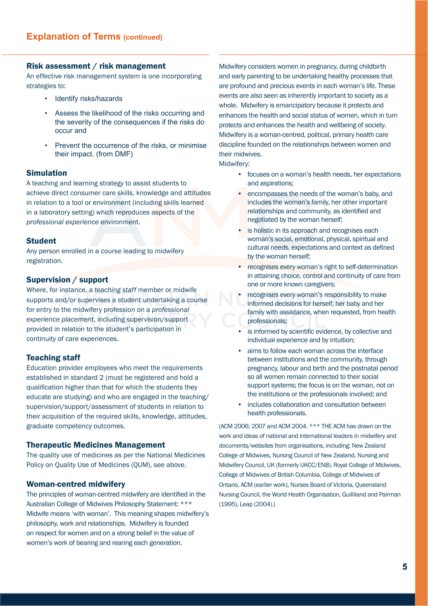#### Risk assessment / risk management

An effective risk management system is one incorporating strategies to:

- Identify risks/hazards
- Assess the likelihood of the risks occurring and the severity of the consequences if the risks do occur and
- Prevent the occurrence of the risks, or minimise their impact. (from DMF)

#### Simulation

A teaching and learning strategy to assist students to achieve direct consumer care skills, knowledge and attitudes in relation to a tool or environment (including skills learned in a laboratory setting) which reproduces aspects of the *professional experience* environment.

#### Student

Any person enrolled in a *course* leading to midwifery registration.

#### Supervision / support

Where, for instance, a *teaching staff* member or midwife supports and/or supervises a student undertaking a course for entry to the midwifery profession on a *professional experience placement*, including supervision/support provided in relation to the student's participation in continuity of care experiences.

#### Teaching staff

Education provider employees who meet the requirements established in standard 2 (must be registered and hold a qualification higher than that for which the students they educate are studying) and who are engaged in the teaching/ supervision/support/assessment of students in relation to their acquisition of the required skills, knowledge, attitudes, graduate competency outcomes.

#### Therapeutic Medicines Management

The quality use of medicines as per the National Medicines Policy on Quality Use of Medicines (QUM), see above.

#### Woman-centred midwifery

The principles of woman-centred midwifery are identified in the Australian College of Midwives Philosophy Statement: \*\*\* Midwife means 'with woman'. This meaning shapes midwifery's philosophy, work and relationships. Midwifery is founded on respect for women and on a strong belief in the value of women's work of bearing and rearing each generation.

Midwifery considers women in pregnancy, during childbirth and early parenting to be undertaking healthy processes that are profound and precious events in each woman's life. These events are also seen as inherently important to society as a whole. Midwifery is emancipatory because it protects and enhances the health and social status of women, which in turn protects and enhances the health and wellbeing of society. Midwifery is a woman-centred, political, primary health care discipline founded on the relationships between women and their midwives.

Midwifery:

- focuses on a woman's health needs, her expectations and aspirations;
- encompasses the needs of the woman's baby, and includes the woman's family, her other important relationships and community, as identified and negotiated by the woman herself;
- is holistic in its approach and recognises each woman's social, emotional, physical, spiritual and cultural needs, expectations and context as defined by the woman herself;
- recognises every woman's right to self-determination in attaining choice, control and continuity of care from one or more known caregivers;
- recognises every woman's responsibility to make informed decisions for herself, her baby and her family with assistance, when requested, from health professionals;
- is informed by scientific evidence, by collective and individual experience and by intuition;
- aims to follow each woman across the interface between institutions and the community, through pregnancy, labour and birth and the postnatal period so all women remain connected to their social support systems; the focus is on the woman, not on the institutions or the professionals involved; and
- includes collaboration and consultation between health professionals.

(ACM 2006; 2007 and ACM 2004. \*\*\* THE ACM has drawn on the work and ideas of national and international leaders in midwifery and documents/websites from organisations, including: New Zealand College of Midwives, Nursing Council of New Zealand, Nursing and Midwifery Council, UK (formerly UKCC/ENB), Royal College of Midwives, College of Midwives of British Columbia, College of Midwives of Ontario, ACM (earlier work), Nurses Board of Victoria, Queensland Nursing Council, the World Health Organisation, Guilliland and Pairman (1995), Leap (2004).)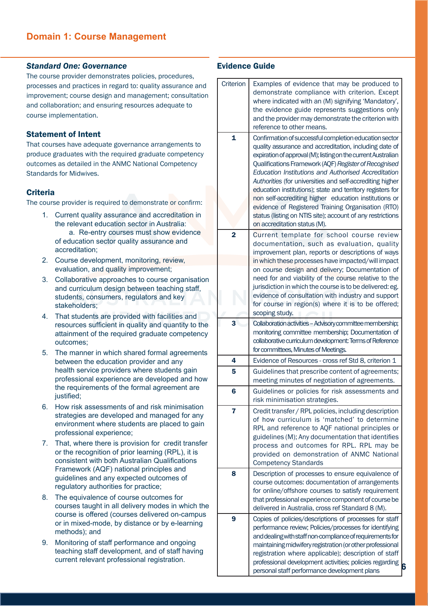#### *Standard One: Governance*

The course provider demonstrates policies, procedures, processes and practices in regard to: quality assurance and improvement; course design and management; consultation and collaboration; and ensuring resources adequate to course implementation.

#### Statement of Intent

That courses have adequate governance arrangements to produce graduates with the required graduate competency outcomes as detailed in the ANMC National Competency Standards for Midwives.

#### **Criteria**

The course provider is required to demonstrate or confirm:

- 1. Current quality assurance and accreditation in the relevant education sector in Australia: a. Re-entry courses must show evidence of education sector quality assurance and accreditation;
- 2. Course development, monitoring, review, evaluation, and quality improvement;
- 3. Collaborative approaches to course organisation and curriculum design between teaching staff, students, consumers, regulators and key stakeholders;
- 4. That students are provided with facilities and resources sufficient in quality and quantity to the attainment of the required graduate competency outcomes;
- 5. The manner in which shared formal agreements between the education provider and any health service providers where students gain professional experience are developed and how the requirements of the formal agreement are justified;
- 6. How risk assessments of and risk minimisation strategies are developed and managed for any environment where students are placed to gain professional experience;
- 7. That, where there is provision for credit transfer or the recognition of prior learning (RPL), it is consistent with both Australian Qualifications Framework (AQF) national principles and guidelines and any expected outcomes of regulatory authorities for practice;
- 8. The equivalence of course outcomes for courses taught in all delivery modes in which the course is offered (courses delivered on-campus or in mixed-mode, by distance or by e-learning methods); and
- 9. Monitoring of staff performance and ongoing teaching staff development, and of staff having current relevant professional registration.

| Criterion      | Examples of evidence that may be produced to<br>demonstrate compliance with criterion. Except<br>where indicated with an (M) signifying 'Mandatory',<br>the evidence guide represents suggestions only<br>and the provider may demonstrate the criterion with<br>reference to other means.                                                                                                                    |  |
|----------------|---------------------------------------------------------------------------------------------------------------------------------------------------------------------------------------------------------------------------------------------------------------------------------------------------------------------------------------------------------------------------------------------------------------|--|
| $\mathbf{1}$   | Confirmation of successful completion education sector<br>quality assurance and accreditation, including date of<br>expiration of approval (M); listing on the current Australian<br>Qualifications Framework (AQF) Register of Recognised<br>Education Institutions and Authorised Accreditation<br>Authorities (for universities and self-accrediting higher                                                |  |
|                | education institutions); state and territory registers for<br>non self-accrediting higher education institutions or<br>evidence of Registered Training Organisation (RTO)<br>status (listing on NTIS site); account of any restrictions<br>on accreditation status (M).                                                                                                                                       |  |
| $\overline{2}$ | Current template for school course review<br>documentation, such as evaluation, quality<br>improvement plan, reports or descriptions of ways<br>in which these processes have impacted/will impact                                                                                                                                                                                                            |  |
|                | on course design and delivery; Documentation of<br>need for and viability of the course relative to the<br>jurisdiction in which the course is to be delivered: eg.<br>evidence of consultation with industry and support<br>for course in region(s) where it is to be offered;                                                                                                                               |  |
|                | scoping study.                                                                                                                                                                                                                                                                                                                                                                                                |  |
| 3              | Collaboration activities - Advisory committee membership;<br>monitoring committee membership; Documentation of<br>collaborative curriculum development: Terms of Reference<br>for committees, Minutes of Meetings.                                                                                                                                                                                            |  |
| 4              | Evidence of Resources - cross ref Std 8, criterion 1                                                                                                                                                                                                                                                                                                                                                          |  |
| 5              | Guidelines that prescribe content of agreements;<br>meeting minutes of negotiation of agreements.                                                                                                                                                                                                                                                                                                             |  |
| 6              | Guidelines or policies for risk assessments and<br>risk minimisation strategies                                                                                                                                                                                                                                                                                                                               |  |
| 7              | Credit transfer / RPL policies, including description<br>of how curriculum is 'matched' to determine<br>RPL and reference to AQF national principles or<br>guidelines (M); Any documentation that identifies<br>process and outcomes for RPL. RPL may be<br>provided on demonstration of ANMC National<br><b>Competency Standards</b>                                                                         |  |
| 8              | Description of processes to ensure equivalence of<br>course outcomes: documentation of arrangements<br>for online/offshore courses to satisfy requirement<br>that professional experience component of course be<br>delivered in Australia, cross ref Standard 8 (M).                                                                                                                                         |  |
| 9              | Copies of policies/descriptions of processes for staff<br>performance review; Policies/processes for identifying<br>and dealing with staff non-compliance of requirements for<br>maintaining midwifery registration (or other professional<br>registration where applicable); description of staff<br>professional development activities; policies regarding<br>personal staff performance development plans |  |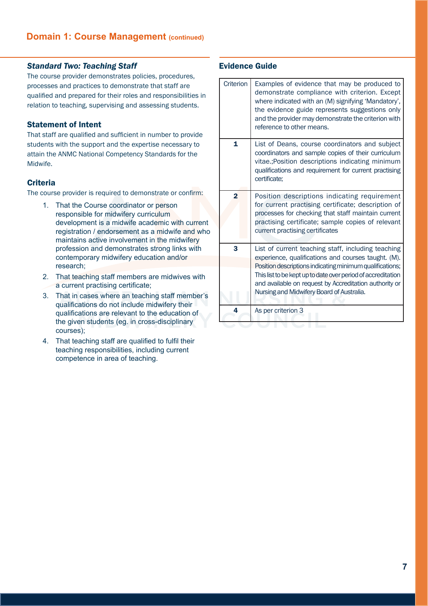# *Standard Two: Teaching Staff*

The course provider demonstrates policies, procedures, processes and practices to demonstrate that staff are qualified and prepared for their roles and responsibilities in relation to teaching, supervising and assessing students.

#### Statement of Intent

That staff are qualified and sufficient in number to provide students with the support and the expertise necessary to attain the ANMC National Competency Standards for the Midwife.

# **Criteria**

The course provider is required to demonstrate or confirm:

- 1. That the Course coordinator or person responsible for midwifery curriculum development is a midwife academic with current registration / endorsement as a midwife and who maintains active involvement in the midwifery profession and demonstrates strong links with contemporary midwifery education and/or research;
- 2. That teaching staff members are midwives with a current practising certificate;
- 3. That in cases where an teaching staff member's qualifications do not include midwifery their qualifications are relevant to the education of the given students (eg. in cross-disciplinary courses);
- 4. That teaching staff are qualified to fulfil their teaching responsibilities, including current competence in area of teaching.

| Criterion      | Examples of evidence that may be produced to<br>demonstrate compliance with criterion. Except<br>where indicated with an (M) signifying 'Mandatory',<br>the evidence guide represents suggestions only<br>and the provider may demonstrate the criterion with<br>reference to other means.                                                   |
|----------------|----------------------------------------------------------------------------------------------------------------------------------------------------------------------------------------------------------------------------------------------------------------------------------------------------------------------------------------------|
| 1              | List of Deans, course coordinators and subject<br>coordinators and sample copies of their curriculum<br>vitae.; Position descriptions indicating minimum<br>qualifications and requirement for current practising<br>certificate;                                                                                                            |
| $\overline{2}$ | Position descriptions indicating requirement<br>for current practising certificate; description of<br>processes for checking that staff maintain current<br>practising certificate; sample copies of relevant<br>current practising certificates                                                                                             |
| 3              | List of current teaching staff, including teaching<br>experience, qualifications and courses taught. (M).<br>Position descriptions indicating minimum qualifications;<br>This list to be kept up to date over period of accreditation<br>and available on request by Accreditation authority or<br>Nursing and Midwifery Board of Australia. |
| 4              | As per criterion 3                                                                                                                                                                                                                                                                                                                           |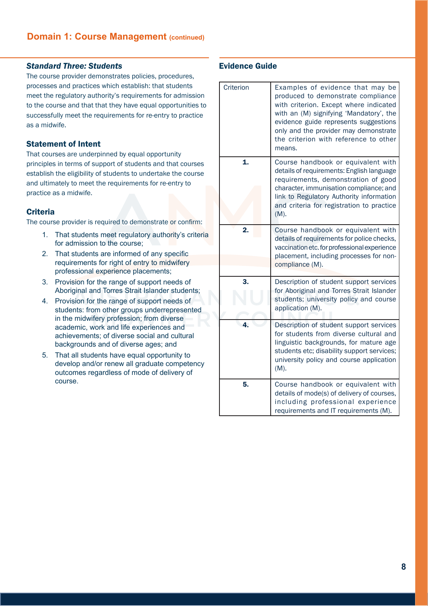#### *Standard Three: Students*

The course provider demonstrates policies, procedures, processes and practices which establish: that students meet the regulatory authority's requirements for admission to the course and that that they have equal opportunities to successfully meet the requirements for re-entry to practice as a midwife.

# Statement of Intent

That courses are underpinned by equal opportunity principles in terms of support of students and that courses establish the eligibility of students to undertake the course and ultimately to meet the requirements for re-entry to practice as a midwife.

# **Criteria**

The course provider is required to demonstrate or confirm:

- 1. That students meet regulatory authority's criteria for admission to the course;
- 2. That students are informed of any specific requirements for right of entry to midwifery professional experience placements;
- 3. Provision for the range of support needs of Aboriginal and Torres Strait Islander students;
- 4. Provision for the range of support needs of students: from other groups underrepresented in the midwifery profession; from diverse academic, work and life experiences and achievements; of diverse social and cultural backgrounds and of diverse ages; and
- 5. That all students have equal opportunity to develop and/or renew all graduate competency outcomes regardless of mode of delivery of course.

| Criterion | Examples of evidence that may be<br>produced to demonstrate compliance<br>with criterion. Except where indicated<br>with an (M) signifying 'Mandatory', the<br>evidence guide represents suggestions<br>only and the provider may demonstrate<br>the criterion with reference to other<br>means. |
|-----------|--------------------------------------------------------------------------------------------------------------------------------------------------------------------------------------------------------------------------------------------------------------------------------------------------|
| 1.        | Course handbook or equivalent with<br>details of requirements: English language<br>requirements, demonstration of good<br>character, immunisation compliance; and<br>link to Regulatory Authority information<br>and criteria for registration to practice<br>(M).                               |
| 2.        | Course handbook or equivalent with<br>details of requirements for police checks,<br>vaccination etc. for professional experience<br>placement, including processes for non-<br>compliance (M).                                                                                                   |
| 3.        | Description of student support services<br>for Aboriginal and Torres Strait Islander<br>students; university policy and course<br>application (M).                                                                                                                                               |
|           | Description of student support services<br>for students from diverse cultural and<br>linguistic backgrounds, for mature age<br>students etc; disability support services;<br>university policy and course application<br>(M).                                                                    |
| 5.        | Course handbook or equivalent with<br>details of mode(s) of delivery of courses,<br>including professional experience<br>requirements and IT requirements (M).                                                                                                                                   |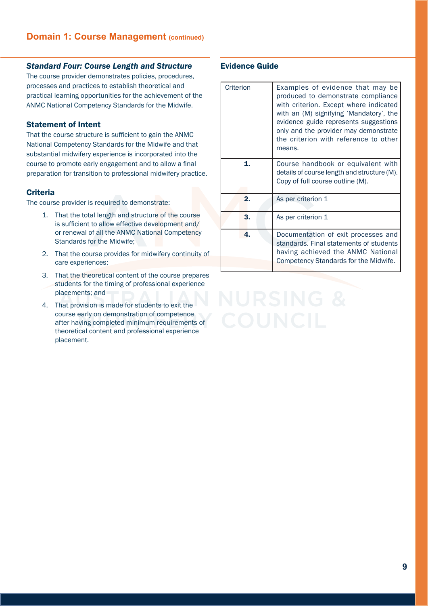#### *Standard Four: Course Length and Structure*

The course provider demonstrates policies, procedures, processes and practices to establish theoretical and practical learning opportunities for the achievement of the ANMC National Competency Standards for the Midwife.

#### Statement of Intent

That the course structure is sufficient to gain the ANMC National Competency Standards for the Midwife and that substantial midwifery experience is incorporated into the course to promote early engagement and to allow a final preparation for transition to professional midwifery practice.

#### **Criteria**

The course provider is required to demonstrate:

- 1. That the total length and structure of the course is sufficient to allow effective development and/ or renewal of all the ANMC National Competency Standards for the Midwife;
- 2. That the course provides for midwifery continuity of care experiences;
- 3. That the theoretical content of the course prepares students for the timing of professional experience placements; and
- 4. That provision is made for students to exit the course early on demonstration of competence after having completed minimum requirements of theoretical content and professional experience placement.

| Criterion | Examples of evidence that may be<br>produced to demonstrate compliance<br>with criterion. Except where indicated<br>with an (M) signifying 'Mandatory', the<br>evidence guide represents suggestions<br>only and the provider may demonstrate<br>the criterion with reference to other<br>means. |
|-----------|--------------------------------------------------------------------------------------------------------------------------------------------------------------------------------------------------------------------------------------------------------------------------------------------------|
| 1.        | Course handbook or equivalent with<br>details of course length and structure (M).<br>Copy of full course outline (M).                                                                                                                                                                            |
| 2.        | As per criterion 1                                                                                                                                                                                                                                                                               |
| 3.        | As per criterion 1                                                                                                                                                                                                                                                                               |
| 4.        | Documentation of exit processes and<br>standards. Final statements of students<br>having achieved the ANMC National<br>Competency Standards for the Midwife.                                                                                                                                     |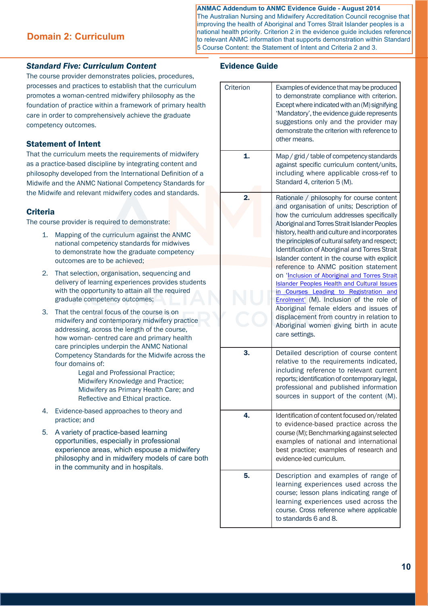#### **ANMAC Addendum to ANMC Evidence Guide - August 2014**

**Domain 2: Curriculum**

The Australian Nursing and Midwifery Accreditation Council recognise that improving the health of Aboriginal and Torres Strait Islander peoples is a national health priority. Criterion 2 in the evidence guide includes reference to relevant ANMC information that supports demonstration within Standard 5 Course Content: the Statement of Intent and Criteria 2 and 3.

#### *Standard Five: Curriculum Content*

The course provider demonstrates policies, procedures, processes and practices to establish that the curriculum promotes a woman-centred midwifery philosophy as the foundation of practice within a framework of primary health care in order to comprehensively achieve the graduate competency outcomes.

# Statement of Intent

That the curriculum meets the requirements of midwifery as a practice-based discipline by integrating content and philosophy developed from the International Definition of a Midwife and the ANMC National Competency Standards for the Midwife and relevant midwifery codes and standards.

# **Criteria**

The course provider is required to demonstrate:

- 1. Mapping of the curriculum against the ANMC national competency standards for midwives to demonstrate how the graduate competency outcomes are to be achieved;
- 2. That selection, organisation, sequencing and delivery of learning experiences provides students with the opportunity to attain all the required graduate competency outcomes;
- 3. That the central focus of the course is on midwifery and contemporary midwifery practice addressing, across the length of the course, how woman- centred care and primary health care principles underpin the ANMC National Competency Standards for the Midwife across the four domains of:
	- Legal and Professional Practice; Midwifery Knowledge and Practice; Midwifery as Primary Health Care; and Reflective and Ethical practice.
- 4. Evidence-based approaches to theory and practice; and
- 5. A variety of practice-based learning opportunities, especially in professional experience areas, which espouse a midwifery philosophy and in midwifery models of care both in the community and in hospitals.

| Criterion | Examples of evidence that may be produced<br>to demonstrate compliance with criterion.<br>Except where indicated with an (M) signifying<br>'Mandatory', the evidence guide represents<br>suggestions only and the provider may<br>demonstrate the criterion with reference to<br>other means.                                                                                                                                                                                                                                                                                                                                                                                                                                                                                   |
|-----------|---------------------------------------------------------------------------------------------------------------------------------------------------------------------------------------------------------------------------------------------------------------------------------------------------------------------------------------------------------------------------------------------------------------------------------------------------------------------------------------------------------------------------------------------------------------------------------------------------------------------------------------------------------------------------------------------------------------------------------------------------------------------------------|
| 1.        | Map / grid / table of competency standards<br>against specific curriculum content/units,<br>including where applicable cross-ref to<br>Standard 4, criterion 5 (M).                                                                                                                                                                                                                                                                                                                                                                                                                                                                                                                                                                                                             |
| 2.        | Rationale / philosophy for course content<br>and organisation of units; Description of<br>how the curriculum addresses specifically<br>Aboriginal and Torres Strait Islander Peoples<br>history, health and culture and incorporates<br>the principles of cultural safety and respect;<br>Identification of Aboriginal and Torres Strait<br>Islander content in the course with explicit<br>reference to ANMC position statement<br>on 'Inclusion of Aboriginal and Torres Strait<br><b>Islander Peoples Health and Cultural Issues</b><br>in Courses Leading to Registration and<br>Enrolment' (M). Inclusion of the role of<br>Aboriginal female elders and issues of<br>displacement from country in relation to<br>Aboriginal women giving birth in acute<br>care settings. |
| 3.        | Detailed description of course content<br>relative to the requirements indicated,<br>including reference to relevant current<br>reports; identification of contemporary legal,<br>professional and published information<br>sources in support of the content (M).                                                                                                                                                                                                                                                                                                                                                                                                                                                                                                              |
| 4.        | Identification of content focused on/related<br>to evidence-based practice across the<br>course (M); Benchmarking against selected<br>examples of national and international<br>best practice; examples of research and<br>evidence-led curriculum.                                                                                                                                                                                                                                                                                                                                                                                                                                                                                                                             |
| 5.        | Description and examples of range of<br>learning experiences used across the<br>course; lesson plans indicating range of<br>learning experiences used across the<br>course. Cross reference where applicable<br>to standards 6 and 8.                                                                                                                                                                                                                                                                                                                                                                                                                                                                                                                                           |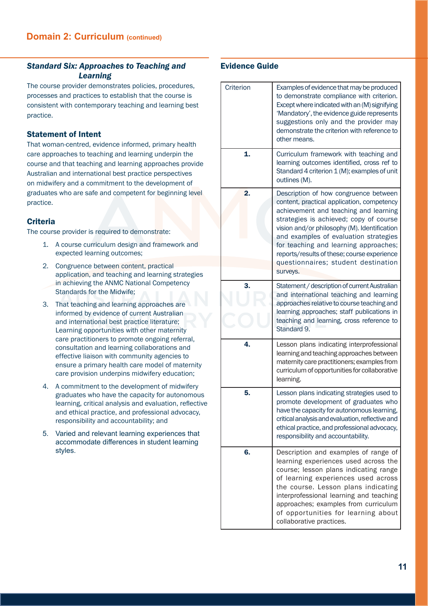# *Standard Six: Approaches to Teaching and Learning*

The course provider demonstrates policies, procedures, processes and practices to establish that the course is consistent with contemporary teaching and learning best practice.

# Statement of Intent

That woman-centred, evidence informed, primary health care approaches to teaching and learning underpin the course and that teaching and learning approaches provide Australian and international best practice perspectives on midwifery and a commitment to the development of graduates who are safe and competent for beginning level practice.

# **Criteria**

The course provider is required to demonstrate:

- 1. A course curriculum design and framework and expected learning outcomes;
- 2. Congruence between content, practical application, and teaching and learning strategies in achieving the ANMC National Competency Standards for the Midwife;
- 3. That teaching and learning approaches are informed by evidence of current Australian and international best practice literature; Learning opportunities with other maternity care practitioners to promote ongoing referral, consultation and learning collaborations and effective liaison with community agencies to ensure a primary health care model of maternity care provision underpins midwifery education;
- 4. A commitment to the development of midwifery graduates who have the capacity for autonomous learning, critical analysis and evaluation, reflective and ethical practice, and professional advocacy, responsibility and accountability; and
- 5. Varied and relevant learning experiences that accommodate differences in student learning styles.

| Criterion | Examples of evidence that may be produced<br>to demonstrate compliance with criterion.<br>Except where indicated with an (M) signifying<br>'Mandatory', the evidence guide represents<br>suggestions only and the provider may<br>demonstrate the criterion with reference to<br>other means.                                                                                                              |
|-----------|------------------------------------------------------------------------------------------------------------------------------------------------------------------------------------------------------------------------------------------------------------------------------------------------------------------------------------------------------------------------------------------------------------|
| 1.        | Curriculum framework with teaching and<br>learning outcomes identified, cross ref to<br>Standard 4 criterion 1 (M); examples of unit<br>outlines (M).                                                                                                                                                                                                                                                      |
| 2.        | Description of how congruence between<br>content, practical application, competency<br>achievement and teaching and learning<br>strategies is achieved; copy of course<br>vision and/or philosophy (M). Identification<br>and examples of evaluation strategies<br>for teaching and learning approaches;<br>reports/results of these; course experience<br>questionnaires; student destination<br>surveys. |
| 3.        | Statement / description of current Australian<br>and international teaching and learning<br>approaches relative to course teaching and<br>learning approaches; staff publications in<br>teaching and learning, cross reference to<br>Standard 9.                                                                                                                                                           |
| 4.        | Lesson plans indicating interprofessional<br>learning and teaching approaches between<br>maternity care practitioners; examples from<br>curriculum of opportunities for collaborative<br>learning.                                                                                                                                                                                                         |
| 5.        | Lesson plans indicating strategies used to<br>promote development of graduates who<br>have the capacity for autonomous learning,<br>critical analysis and evaluation, reflective and<br>ethical practice, and professional advocacy,<br>responsibility and accountability.                                                                                                                                 |
| 6.        | Description and examples of range of<br>learning experiences used across the<br>course; lesson plans indicating range<br>of learning experiences used across<br>the course. Lesson plans indicating<br>interprofessional learning and teaching<br>approaches; examples from curriculum<br>of opportunities for learning about<br>collaborative practices.                                                  |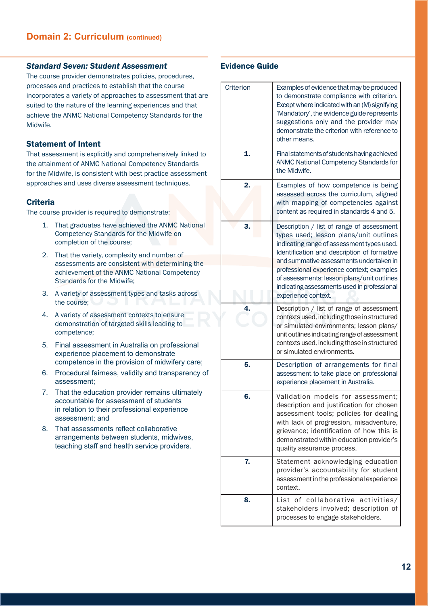#### *Standard Seven: Student Assessment*

The course provider demonstrates policies, procedures, processes and practices to establish that the course incorporates a variety of approaches to assessment that are suited to the nature of the learning experiences and that achieve the ANMC National Competency Standards for the Midwife.

#### Statement of Intent

That assessment is explicitly and comprehensively linked to the attainment of ANMC National Competency Standards for the Midwife, is consistent with best practice assessment approaches and uses diverse assessment techniques.

#### **Criteria**

The course provider is required to demonstrate:

- 1. That graduates have achieved the ANMC National Competency Standards for the Midwife on completion of the course;
- 2. That the variety, complexity and number of assessments are consistent with determining the achievement of the ANMC National Competency Standards for the Midwife;
- 3. A variety of assessment types and tasks across the course;
- 4. A variety of assessment contexts to ensure demonstration of targeted skills leading to competence;
- 5. Final assessment in Australia on professional experience placement to demonstrate competence in the provision of midwifery care;
- 6. Procedural fairness, validity and transparency of assessment;
- 7. That the education provider remains ultimately accountable for assessment of students in relation to their professional experience assessment; and
- 8. That assessments reflect collaborative arrangements between students, midwives, teaching staff and health service providers.

| Criterion    | Examples of evidence that may be produced<br>to demonstrate compliance with criterion.<br>Except where indicated with an (M) signifying<br>'Mandatory', the evidence guide represents<br>suggestions only and the provider may<br>demonstrate the criterion with reference to<br>other means.                                                                                                |
|--------------|----------------------------------------------------------------------------------------------------------------------------------------------------------------------------------------------------------------------------------------------------------------------------------------------------------------------------------------------------------------------------------------------|
| $\mathbf{1}$ | Final statements of students having achieved<br><b>ANMC National Competency Standards for</b><br>the Midwife.                                                                                                                                                                                                                                                                                |
| 2.           | Examples of how competence is being<br>assessed across the curriculum, aligned<br>with mapping of competencies against<br>content as required in standards 4 and 5.                                                                                                                                                                                                                          |
| 3.           | Description / list of range of assessment<br>types used; lesson plans/unit outlines<br>indicating range of assessment types used.<br>Identification and description of formative<br>and summative assessments undertaken in<br>professional experience context; examples<br>of assessments; lesson plans/unit outlines<br>indicating assessments used in professional<br>experience context. |
| 4.           | Description / list of range of assessment<br>contexts used, including those in structured<br>or simulated environments; lesson plans/<br>unit outlines indicating range of assessment<br>contexts used, including those in structured<br>or simulated environments.                                                                                                                          |
| 5.           | Description of arrangements for final<br>assessment to take place on professional<br>experience placement in Australia.                                                                                                                                                                                                                                                                      |
| 6.           | Validation models for assessment;<br>description and justification for chosen<br>assessment tools; policies for dealing<br>with lack of progression, misadventure,<br>grievance; identification of how this is<br>demonstrated within education provider's<br>quality assurance process.                                                                                                     |
| 7.           | Statement acknowledging education<br>provider's accountability for student<br>assessment in the professional experience<br>context.                                                                                                                                                                                                                                                          |
| 8.           | List of collaborative<br>activities/<br>stakeholders involved; description of<br>processes to engage stakeholders.                                                                                                                                                                                                                                                                           |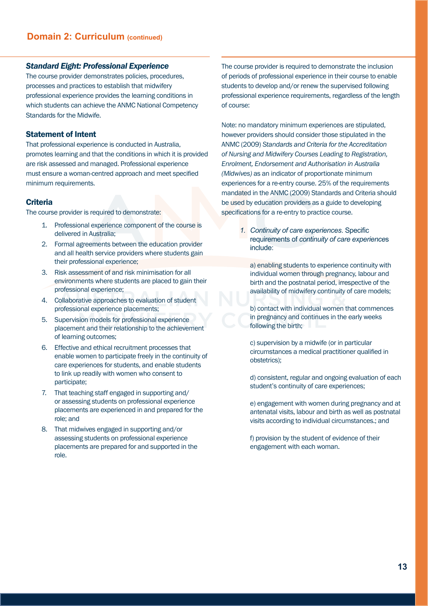#### *Standard Eight: Professional Experience*

The course provider demonstrates policies, procedures, processes and practices to establish that midwifery professional experience provides the learning conditions in which students can achieve the ANMC National Competency Standards for the Midwife.

#### Statement of Intent

That professional experience is conducted in Australia, promotes learning and that the conditions in which it is provided are risk assessed and managed. Professional experience must ensure a woman-centred approach and meet specified minimum requirements.

#### **Criteria**

The course provider is required to demonstrate:

- 1. Professional experience component of the course is delivered in Australia;
- 2. Formal agreements between the education provider and all health service providers where students gain their professional experience;
- 3. Risk assessment of and risk minimisation for all environments where students are placed to gain their professional experience;
- 4. Collaborative approaches to evaluation of student professional experience placements;
- 5. Supervision models for professional experience placement and their relationship to the achievement of learning outcomes;
- 6. Effective and ethical recruitment processes that enable women to participate freely in the continuity of care experiences for students, and enable students to link up readily with women who consent to participate;
- 7. That teaching staff engaged in supporting and/ or assessing students on professional experience placements are experienced in and prepared for the role; and
- 8. That midwives engaged in supporting and/or assessing students on professional experience placements are prepared for and supported in the role.

The course provider is required to demonstrate the inclusion of periods of professional experience in their course to enable students to develop and/or renew the supervised following professional experience requirements, regardless of the length of course:

Note: no mandatory minimum experiences are stipulated, however providers should consider those stipulated in the ANMC (2009) *Standards and Criteria for the Accreditation of Nursing and Midwifery Courses Leading to Registration, Enrolment, Endorsement and Authorisation in Australia (Midwives)* as an indicator of proportionate minimum experiences for a re-entry course. 25% of the requirements mandated in the ANMC (2009) Standards and Criteria should be used by education providers as a guide to developing specifications for a re-entry to practice course.

> *1. Continuity of care experiences*. Specific requirements of *continuity of care experience*s include:

a) enabling students to experience continuity with individual women through pregnancy, labour and birth and the postnatal period, irrespective of the availability of midwifery continuity of care models;

b) contact with individual women that commences in pregnancy and continues in the early weeks following the birth;

c) supervision by a midwife (or in particular circumstances a medical practitioner qualified in obstetrics);

d) consistent, regular and ongoing evaluation of each student's continuity of care experiences;

e) engagement with women during pregnancy and at antenatal visits, labour and birth as well as postnatal visits according to individual circumstances.; and

f) provision by the student of evidence of their engagement with each woman.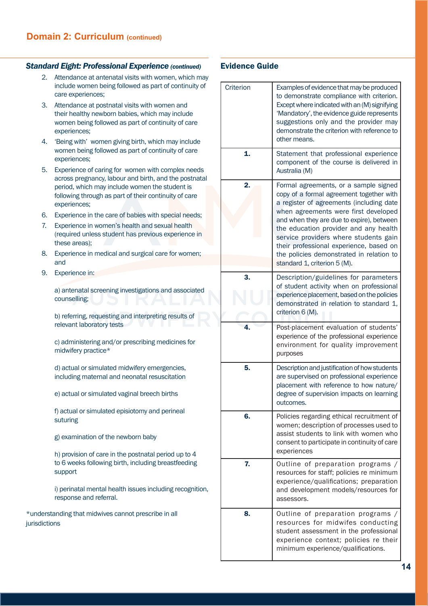#### *Standard Eight: Professional Experience (continued)*

- 2. Attendance at antenatal visits with women, which may include women being followed as part of continuity of care experiences;
- 3. Attendance at postnatal visits with women and their healthy newborn babies, which may include women being followed as part of continuity of care experiences;
- 4. 'Being with' women giving birth, which may include women being followed as part of continuity of care experiences;
- 5. Experience of caring for women with complex needs across pregnancy, labour and birth, and the postnatal period, which may include women the student is following through as part of their continuity of care experiences;
- 6. Experience in the care of babies with special needs;
- 7. Experience in women's health and sexual health (required unless student has previous experience in these areas);
- 8. Experience in medical and surgical care for women; and
- 9. Experience in:

a) antenatal screening investigations and associated counselling;

b) referring, requesting and interpreting results of relevant laboratory tests

c) administering and/or prescribing medicines for midwifery practice\*

d) actual or simulated midwifery emergencies, including maternal and neonatal resuscitation

e) actual or simulated vaginal breech births

f) actual or simulated episiotomy and perineal suturing

g) examination of the newborn baby

h) provision of care in the postnatal period up to 4 to 6 weeks following birth, including breastfeeding support

i) perinatal mental health issues including recognition, response and referral.

\*understanding that midwives cannot prescribe in all jurisdictions

|  | Criterion | Examples of evidence that may be produced<br>to demonstrate compliance with criterion.<br>Except where indicated with an (M) signifying<br>'Mandatory', the evidence guide represents<br>suggestions only and the provider may<br>demonstrate the criterion with reference to<br>other means.                                                                                                                               |
|--|-----------|-----------------------------------------------------------------------------------------------------------------------------------------------------------------------------------------------------------------------------------------------------------------------------------------------------------------------------------------------------------------------------------------------------------------------------|
|  | 1.        | Statement that professional experience<br>component of the course is delivered in<br>Australia (M)                                                                                                                                                                                                                                                                                                                          |
|  | 2.        | Formal agreements, or a sample signed<br>copy of a formal agreement together with<br>a register of agreements (including date<br>when agreements were first developed<br>and when they are due to expire), between<br>the education provider and any health<br>service providers where students gain<br>their professional experience, based on<br>the policies demonstrated in relation to<br>standard 1, criterion 5 (M). |
|  | 3.        | Description/guidelines for parameters<br>of student activity when on professional<br>experience placement, based on the policies<br>demonstrated in relation to standard 1,<br>criterion 6 (M).                                                                                                                                                                                                                             |
|  | 4.        | Post-placement evaluation of students'<br>experience of the professional experience<br>environment for quality improvement<br>purposes                                                                                                                                                                                                                                                                                      |
|  | 5.        | Description and justification of how students<br>are supervised on professional experience<br>placement with reference to how nature/<br>degree of supervision impacts on learning<br>outcomes.                                                                                                                                                                                                                             |
|  | 6.        | Policies regarding ethical recruitment of<br>women; description of processes used to<br>assist students to link with women who<br>consent to participate in continuity of care<br>experiences                                                                                                                                                                                                                               |
|  | 7.        | Outline of preparation programs /<br>resources for staff; policies re minimum<br>experience/qualifications; preparation<br>and development models/resources for<br>assessors.                                                                                                                                                                                                                                               |
|  | 8.        | Outline of preparation programs /<br>resources for midwifes conducting<br>student assessment in the professional<br>experience context; policies re their<br>minimum experience/qualifications.                                                                                                                                                                                                                             |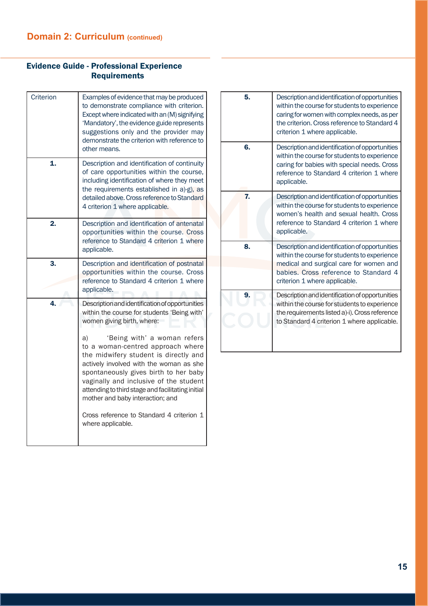# Evidence Guide - Professional Experience **Requirements**

| Criterion | Examples of evidence that may be produced<br>to demonstrate compliance with criterion.<br>Except where indicated with an (M) signifying<br>'Mandatory', the evidence guide represents<br>suggestions only and the provider may<br>demonstrate the criterion with reference to<br>other means.                                                                                                                                                                                                                                            |  |
|-----------|------------------------------------------------------------------------------------------------------------------------------------------------------------------------------------------------------------------------------------------------------------------------------------------------------------------------------------------------------------------------------------------------------------------------------------------------------------------------------------------------------------------------------------------|--|
| 1.        | Description and identification of continuity<br>of care opportunities within the course,<br>including identification of where they meet<br>the requirements established in a)-g), as<br>detailed above. Cross reference to Standard<br>4 criterion 1 where applicable.                                                                                                                                                                                                                                                                   |  |
| 2.        | Description and identification of antenatal<br>opportunities within the course. Cross<br>reference to Standard 4 criterion 1 where<br>applicable.                                                                                                                                                                                                                                                                                                                                                                                        |  |
| 3.        | Description and identification of postnatal<br>opportunities within the course. Cross<br>reference to Standard 4 criterion 1 where<br>applicable.                                                                                                                                                                                                                                                                                                                                                                                        |  |
| 4.        | Description and identification of opportunities<br>within the course for students 'Being with'<br>women giving birth, where:<br>'Being with' a woman refers<br>a)<br>to a woman-centred approach where<br>the midwifery student is directly and<br>actively involved with the woman as she<br>spontaneously gives birth to her baby<br>vaginally and inclusive of the student<br>attending to third stage and facilitating initial<br>mother and baby interaction; and<br>Cross reference to Standard 4 criterion 1<br>where applicable. |  |

| 5. | Description and identification of opportunities<br>within the course for students to experience<br>caring for women with complex needs, as per<br>the criterion. Cross reference to Standard 4<br>criterion 1 where applicable. |
|----|---------------------------------------------------------------------------------------------------------------------------------------------------------------------------------------------------------------------------------|
| 6. | Description and identification of opportunities<br>within the course for students to experience<br>caring for babies with special needs. Cross<br>reference to Standard 4 criterion 1 where<br>applicable.                      |
| 7. | Description and identification of opportunities<br>within the course for students to experience<br>women's health and sexual health. Cross<br>reference to Standard 4 criterion 1 where<br>applicable.                          |
| 8. | Description and identification of opportunities<br>within the course for students to experience<br>medical and surgical care for women and<br>babies. Cross reference to Standard 4<br>criterion 1 where applicable.            |
| 9. | Description and identification of opportunities<br>within the course for students to experience<br>the requirements listed a)-i). Cross reference<br>to Standard 4 criterion 1 where applicable.                                |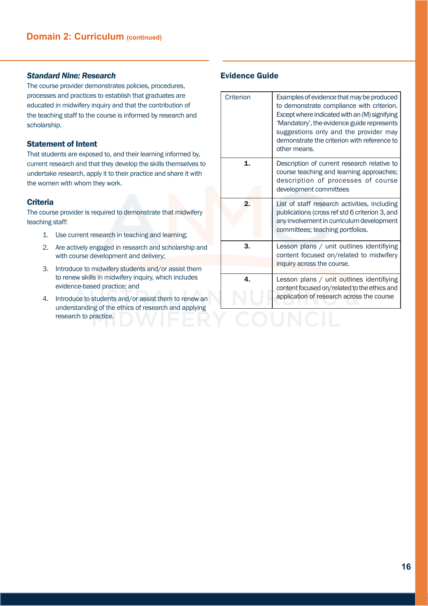# *Standard Nine: Research*

The course provider demonstrates policies, procedures, processes and practices to establish that graduates are educated in midwifery inquiry and that the contribution of the teaching staff to the course is informed by research and scholarship.

# Statement of Intent

That students are exposed to, and their learning informed by, current research and that they develop the skills themselves to undertake research, apply it to their practice and share it with the women with whom they work.

# **Criteria**

The course provider is required to demonstrate that midwifery teaching staff:

- 1. Use current research in teaching and learning;
- 2. Are actively engaged in research and scholarship and with course development and delivery;
- 3. Introduce to midwifery students and/or assist them to renew skills in midwifery inquiry, which includes evidence-based practice; and
- 4. Introduce to students and/or assist them to renew an understanding of the ethics of research and applying research to practice.

| Criterion        | Examples of evidence that may be produced<br>to demonstrate compliance with criterion.<br>Except where indicated with an (M) signifying<br>'Mandatory', the evidence guide represents<br>suggestions only and the provider may<br>demonstrate the criterion with reference to<br>other means. |
|------------------|-----------------------------------------------------------------------------------------------------------------------------------------------------------------------------------------------------------------------------------------------------------------------------------------------|
| 1.               | Description of current research relative to<br>course teaching and learning approaches;<br>description of processes of course<br>development committees                                                                                                                                       |
| $\overline{2}$ . | List of staff research activities, including<br>publications (cross ref std 6 criterion 3, and<br>any involvement in curriculum development<br>committees; teaching portfolios.                                                                                                               |
| 3.               | Lesson plans / unit outlines identifiying<br>content focused on/related to midwifery<br>inquiry across the course.                                                                                                                                                                            |
| 4.               | Lesson plans / unit outlines identifiying<br>content focused on/related to the ethics and<br>application of research across the course                                                                                                                                                        |
|                  |                                                                                                                                                                                                                                                                                               |